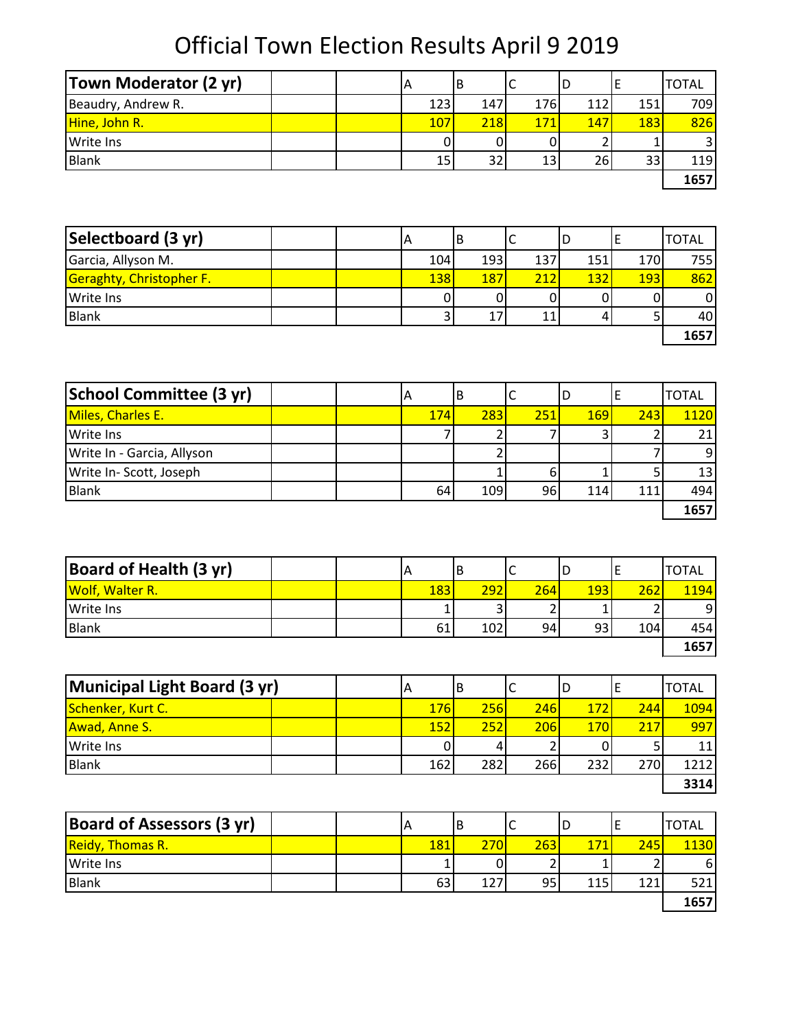| <b>Town Moderator (2 yr)</b> | IА  | В   |     |     |     | <b>TOTAL</b> |
|------------------------------|-----|-----|-----|-----|-----|--------------|
| Beaudry, Andrew R.           | 123 | 147 | 176 | 112 | 151 | 709          |
| Hine, John R.                | 107 | 218 | 171 | 147 | 183 | 826          |
| <b>Write Ins</b>             |     |     |     |     |     |              |
| <b>Blank</b>                 | 15  | 32  | 13  | 26I | 33  | 119          |
|                              |     |     |     |     |     | 1657         |

| Selectboard (3 yr)              | A          | B   |     | υ   |            | <b>TOTAL</b> |
|---------------------------------|------------|-----|-----|-----|------------|--------------|
| Garcia, Allyson M.              | 104        | 193 | 137 | 151 | 170        | <b>755</b>   |
| <b>Geraghty, Christopher F.</b> | <b>138</b> | 187 | 212 | 132 | <b>193</b> | 862          |
| <b>Write Ins</b>                |            |     |     |     |            |              |
| Blank                           |            |     |     |     |            | 40I          |
|                                 |            |     |     |     |            | 1657         |

| School Committee (3 yr)    |  | A   | В   |     |            |     | <b>TOTAL</b>    |
|----------------------------|--|-----|-----|-----|------------|-----|-----------------|
| <b>Miles, Charles E.</b>   |  | 174 | 283 | 251 | <b>169</b> | 243 | <b>1120</b>     |
| <b>Write Ins</b>           |  |     |     |     |            |     | 21              |
| Write In - Garcia, Allyson |  |     |     |     |            |     | 9               |
| Write In-Scott, Joseph     |  |     |     | 6   |            |     | 13 <sup>1</sup> |
| <b>Blank</b>               |  | 64  | 109 | 96  | 114        | 111 | 494             |
|                            |  |     |     |     |            |     | 1657            |

| <b>Board of Health (3 yr)</b> |  | IA  | ΙB  |     | ц          |     | <b>TOTAL</b> |
|-------------------------------|--|-----|-----|-----|------------|-----|--------------|
| <b>Wolf, Walter R.</b>        |  | 183 | 292 | 264 | <b>193</b> | 262 | 1194         |
| <b>Write Ins</b>              |  |     |     |     |            |     | 9            |
| <b>Blank</b>                  |  | 61  | 102 | 94  | 93         | 104 | 454          |
|                               |  |     |     |     |            |     | 1657         |

| Municipal Light Board (3 yr) |  | A          | ΙB  |             | D          |     | <b>TOTAL</b> |
|------------------------------|--|------------|-----|-------------|------------|-----|--------------|
| Schenker, Kurt C.            |  | <b>176</b> | 256 | <b>2461</b> | 172        | 244 | <b>1094</b>  |
| <b>Awad, Anne S.</b>         |  | 152        | 252 | 206         | <b>170</b> | 217 | 997          |
| <b>Write Ins</b>             |  |            |     |             |            |     | 11           |
| Blank                        |  | 162        | 282 | 266         | 232        | 270 | 1212         |
|                              |  |            |     |             |            |     | 3314         |

| <b>Board of Assessors (3 yr)</b> |  |             | В   |                 | υ   |     | <b>TOTAL</b> |
|----------------------------------|--|-------------|-----|-----------------|-----|-----|--------------|
| <b>Reidy, Thomas R.</b>          |  | <u> 181</u> | 270 | 263             | 171 | 245 | 1130         |
| Write Ins                        |  |             |     |                 |     |     | 6            |
| <b>Blank</b>                     |  | 63          | 127 | 95 <sub>1</sub> | 115 | 121 | 521          |
|                                  |  |             |     |                 |     |     | 1657         |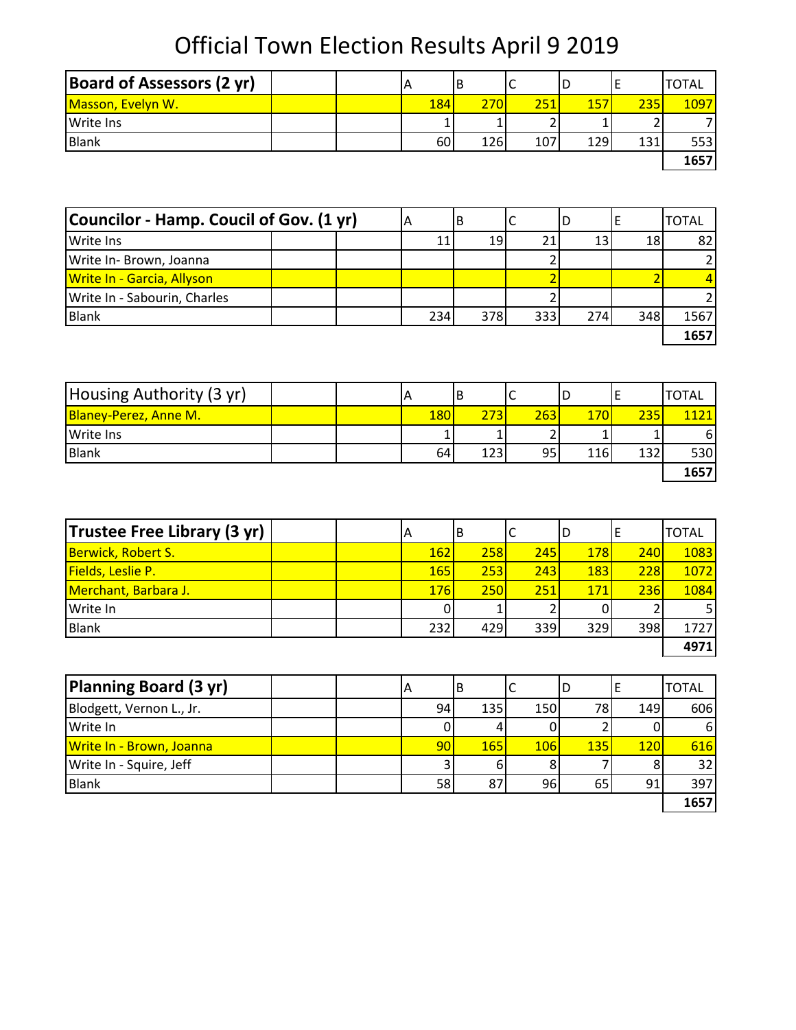| <b>Board of Assessors (2 yr)</b> |  |     | В          |     | υ          |     | <b>TOTAL</b> |
|----------------------------------|--|-----|------------|-----|------------|-----|--------------|
| Masson, Evelyn W.                |  | 184 | 2701       | 251 | 157        | 235 | 1097         |
| <b>Write Ins</b>                 |  |     |            |     |            |     |              |
| Blank                            |  | 60  | <b>126</b> | 107 | <b>129</b> | 131 | 553          |
|                                  |  |     |            |     |            |     | 1657         |

| Councilor - Hamp. Coucil of Gov. (1 yr) |     | В   |     |     |     | <b>TOTAL</b> |
|-----------------------------------------|-----|-----|-----|-----|-----|--------------|
| Write Ins                               |     | 19  |     | 13  | 18  | 82           |
| Write In- Brown, Joanna                 |     |     |     |     |     |              |
| <b>Write In - Garcia, Allyson</b>       |     |     |     |     |     |              |
| Write In - Sabourin, Charles            |     |     |     |     |     |              |
| <b>Blank</b>                            | 234 | 378 | 333 | 274 | 348 | 1567         |
|                                         |     |     |     |     |     | 1657         |

| Housing Authority (3 yr)     | $\overline{H}$ | В   |     | ID         |     | <b>TOTAL</b> |
|------------------------------|----------------|-----|-----|------------|-----|--------------|
| <b>Blaney-Perez, Anne M.</b> | 180            | 273 | 263 | 170        | 235 | 1121         |
| <b>Write Ins</b>             |                |     |     |            |     | 61           |
| <b>Blank</b>                 | 64             | 123 | 95  | <b>116</b> | 132 | 530l         |
|                              |                |     |     |            |     | 1657         |

| Trustee Free Library (3 yr) | A          | ΙB         |     | D          |     | <b>TOTAL</b> |
|-----------------------------|------------|------------|-----|------------|-----|--------------|
| <b>Berwick, Robert S.</b>   | <b>162</b> | <b>258</b> | 245 | <b>178</b> | 240 | 1083         |
| <b>Fields, Leslie P.</b>    | <b>165</b> | 253        | 243 | <b>183</b> | 228 | 1072         |
| Merchant, Barbara J.        | 176        | 250        | 251 | 171        | 236 | 1084         |
| Write In                    |            |            |     |            |     |              |
| <b>Blank</b>                | 232        | 429        | 339 | 329        | 398 | 1727         |
|                             |            |            |     |            |     | 4971         |

| Planning Board (3 yr)    |  | A  | В   |            | D   |            | <b>TOTAL</b>    |
|--------------------------|--|----|-----|------------|-----|------------|-----------------|
| Blodgett, Vernon L., Jr. |  | 94 | 135 | 150        | 78  | 149        | 606             |
| Write In                 |  |    |     |            |     |            | 6I              |
| Write In - Brown, Joanna |  | 90 | 165 | <b>106</b> | 135 | <b>120</b> | 616             |
| Write In - Squire, Jeff  |  |    |     |            |     |            | 32 <sub>1</sub> |
| Blank                    |  | 58 | 87  | 96         | 65  | 91         | 397             |
|                          |  |    |     |            |     |            | 1657            |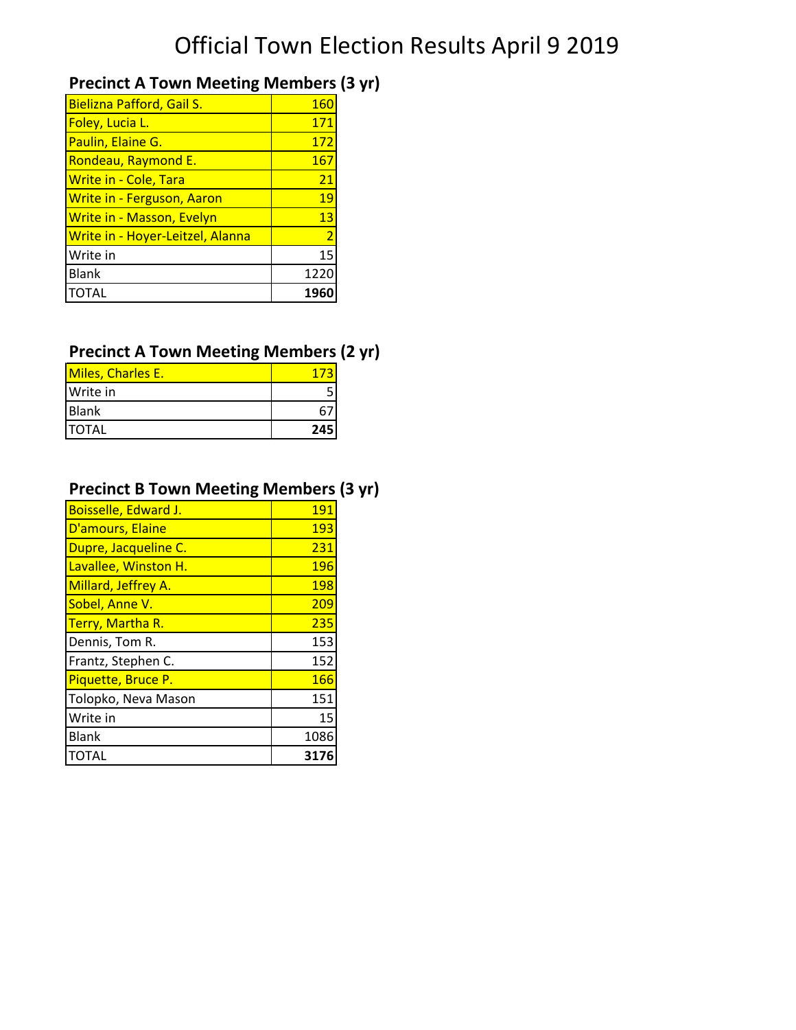## **Precinct A Town Meeting Members (3 yr)**

| Bielizna Pafford, Gail S.         | <u> 160</u>    |
|-----------------------------------|----------------|
| Foley, Lucia L.                   | 171            |
| Paulin, Elaine G.                 | 172            |
| Rondeau, Raymond E.               | 167            |
| <b>Write in - Cole, Tara</b>      | 21             |
| <b>Write in - Ferguson, Aaron</b> | 19             |
| <b>Write in - Masson, Evelyn</b>  | 13             |
| Write in - Hoyer-Leitzel, Alanna  | $\overline{2}$ |
| Write in                          | 15             |
| <b>Blank</b>                      | 1220           |
| <b>TOTAL</b>                      |                |

## **Precinct A Town Meeting Members (2 yr)**

| Miles, Charles E. |     |
|-------------------|-----|
| Write in          |     |
| Blank             |     |
| <b>ITOTAL</b>     | 245 |

## **Precinct B Town Meeting Members (3 yr)**

| Boisselle, Edward J. | 191  |
|----------------------|------|
| D'amours, Elaine     | 193  |
| Dupre, Jacqueline C. | 231  |
| Lavallee, Winston H. | 196  |
| Millard, Jeffrey A.  | 198  |
| Sobel, Anne V.       | 209  |
| Terry, Martha R.     | 235  |
| Dennis, Tom R.       | 153  |
| Frantz, Stephen C.   | 152  |
| Piquette, Bruce P.   | 166  |
| Tolopko, Neva Mason  | 151  |
| Write in             | 15   |
| <b>Blank</b>         | 1086 |
| TOTAL                | 317  |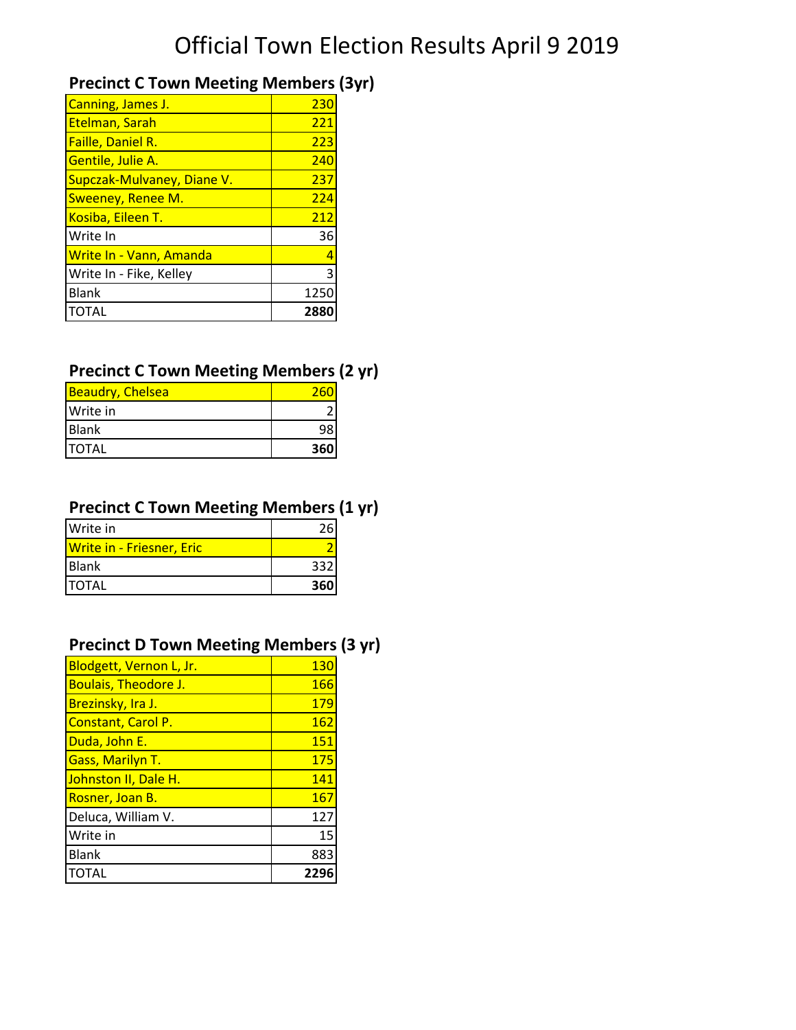## **Precinct C Town Meeting Members (3yr)**

| 230  |
|------|
| 221  |
| 223  |
| 240  |
| 237  |
| 224  |
| 212  |
| 36   |
|      |
|      |
| 1250 |
| 288  |
|      |

#### **Precinct C Town Meeting Members (2 yr)**

| <b>Beaudry, Chelsea</b> |     |
|-------------------------|-----|
| Write in                |     |
| <b>Blank</b>            |     |
| <b>TOTAL</b>            | 360 |

#### **Precinct C Town Meeting Members (1 yr)**

| Write in                         |     |
|----------------------------------|-----|
| <b>Write in - Friesner, Eric</b> |     |
| <b>Blank</b>                     | 332 |
| <b>ITOTAL</b>                    | 360 |

#### **Precinct D Town Meeting Members (3 yr)**

| <b>Blodgett, Vernon L, Jr.</b> | 13 <sub>C</sub> |
|--------------------------------|-----------------|
| <b>Boulais, Theodore J.</b>    | 166             |
| Brezinsky, Ira J.              | 179             |
| Constant, Carol P.             | <b>162</b>      |
| Duda, John E.                  | 151             |
| <b>Gass, Marilyn T.</b>        | 175             |
| Johnston II, Dale H.           | 141             |
| Rosner, Joan B.                | 167             |
| Deluca, William V.             | 127             |
| Write in                       | 15              |
| <b>Blank</b>                   | 883             |
| <b>TOTAL</b>                   | 229             |